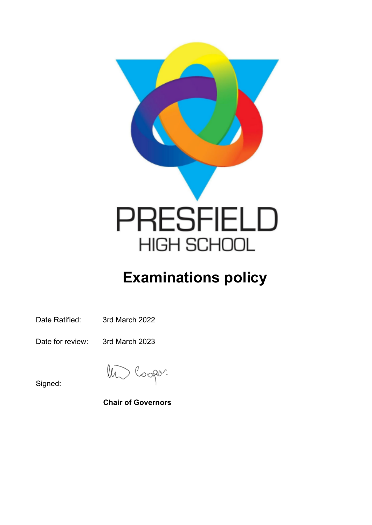

# **Examinations policy**

Date Ratified: 3rd March 2022

Date for review: 3rd March 2023

 $\sqrt{\mu}$ Cooper.

Signed:

**Chair of Governors**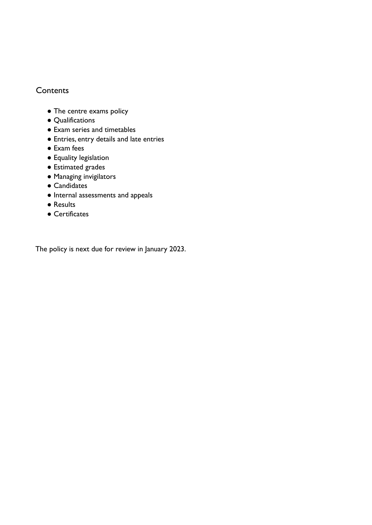## **Contents**

- The centre exams policy
- Qualifications
- Exam series and timetables
- Entries, entry details and late entries
- Exam fees
- Equality legislation
- Estimated grades
- Managing invigilators
- Candidates
- Internal assessments and appeals
- Results
- **●** Certificates

The policy is next due for review in January 2023.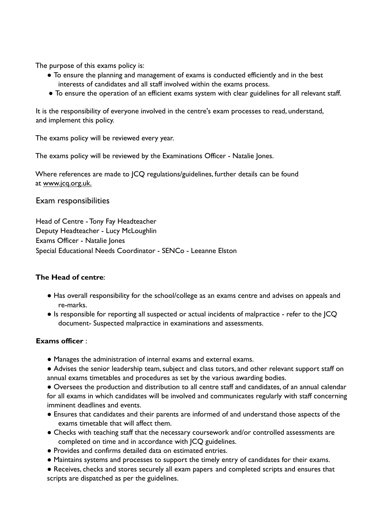The purpose of this exams policy is:

- To ensure the planning and management of exams is conducted efficiently and in the best interests of candidates and all staff involved within the exams process.
- To ensure the operation of an efficient exams system with clear guidelines for all relevant staff.

It is the responsibility of everyone involved in the centre's exam processes to read, understand, and implement this policy.

The exams policy will be reviewed every year.

The exams policy will be reviewed by the Examinations Officer - Natalie Jones.

Where references are made to JCQ regulations/guidelines, further details can be found at www.jcq.org.uk.

Exam responsibilities

Head of Centre - Tony Fay Headteacher Deputy Headteacher - Lucy McLoughlin Exams Officer - Natalie Jones Special Educational Needs Coordinator - SENCo - Leeanne Elston

#### **The Head of centre**:

- Has overall responsibility for the school/college as an exams centre and advises on appeals and re-marks.
- Is responsible for reporting all suspected or actual incidents of malpractice refer to the JCQ document- Suspected malpractice in examinations and assessments.

#### **Exams officer** :

● Manages the administration of internal exams and external exams.

● Advises the senior leadership team, subject and class tutors, and other relevant support staff on annual exams timetables and procedures as set by the various awarding bodies.

● Oversees the production and distribution to all centre staff and candidates, of an annual calendar for all exams in which candidates will be involved and communicates regularly with staff concerning imminent deadlines and events.

- Ensures that candidates and their parents are informed of and understand those aspects of the exams timetable that will affect them.
- Checks with teaching staff that the necessary coursework and/or controlled assessments are completed on time and in accordance with JCQ guidelines.
- Provides and confirms detailed data on estimated entries.
- Maintains systems and processes to support the timely entry of candidates for their exams.

● Receives, checks and stores securely all exam papers and completed scripts and ensures that scripts are dispatched as per the guidelines.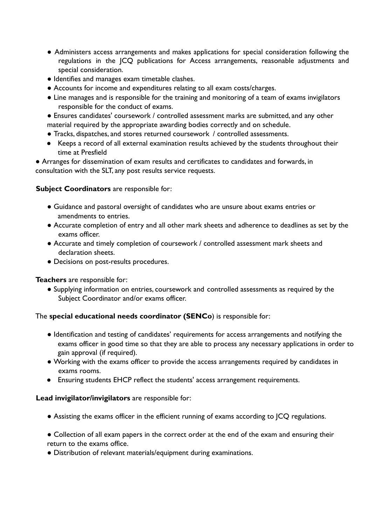- Administers access arrangements and makes applications for special consideration following the regulations in the JCQ publications for Access arrangements, reasonable adjustments and special consideration.
- Identifies and manages exam timetable clashes.
- Accounts for income and expenditures relating to all exam costs/charges.
- Line manages and is responsible for the training and monitoring of a team of exams invigilators responsible for the conduct of exams.
- Ensures candidates' coursework / controlled assessment marks are submitted, and any other material required by the appropriate awarding bodies correctly and on schedule.
- Tracks, dispatches, and stores returned coursework / controlled assessments.
- Keeps a record of all external examination results achieved by the students throughout their time at Presfield

● Arranges for dissemination of exam results and certificates to candidates and forwards, in consultation with the SLT, any post results service requests.

#### **Subject Coordinators** are responsible for:

- *●* Guidance and pastoral oversight of candidates who are unsure about exams entries or amendments to entries.
- Accurate completion of entry and all other mark sheets and adherence to deadlines as set by the exams officer.
- *●* Accurate and timely completion of coursework / controlled assessment mark sheets and declaration sheets.
- Decisions on post-results procedures.

#### **Teachers** are responsible for:

● Supplying information on entries, coursework and controlled assessments as required by the Subject Coordinator and/or exams officer.

#### The **special educational needs coordinator (SENCo**) is responsible for:

- Identification and testing of candidates' requirements for access arrangements and notifying the exams officer in good time so that they are able to process any necessary applications in order to gain approval (if required).
- Working with the exams officer to provide the access arrangements required by candidates in exams rooms.
- Ensuring students EHCP reflect the students' access arrangement requirements.

#### **Lead invigilator/invigilators** are responsible for:

- Assisting the exams officer in the efficient running of exams according to JCQ regulations.
- Collection of all exam papers in the correct order at the end of the exam and ensuring their return to the exams office.
- Distribution of relevant materials/equipment during examinations.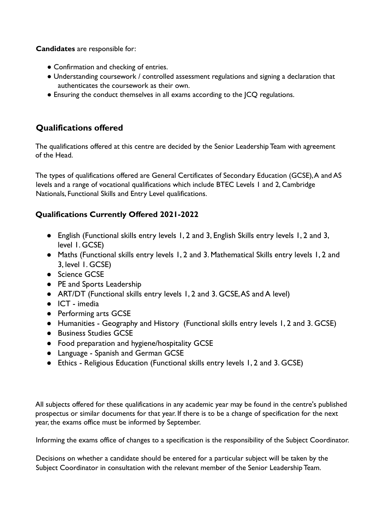**Candidates** are responsible for:

- Confirmation and checking of entries.
- Understanding coursework / controlled assessment regulations and signing a declaration that authenticates the coursework as their own.
- Ensuring the conduct themselves in all exams according to the JCQ regulations.

# **Qualifications offered**

The qualifications offered at this centre are decided by the Senior Leadership Team with agreement of the Head.

The types of qualifications offered are General Certificates of Secondary Education (GCSE),A and AS levels and a range of vocational qualifications which include BTEC Levels 1 and 2, Cambridge Nationals, Functional Skills and Entry Level qualifications.

# **Qualifications Currently Offered 2021-2022**

- English (Functional skills entry levels 1, 2 and 3, English Skills entry levels 1, 2 and 3, level 1. GCSE)
- Maths (Functional skills entry levels 1, 2 and 3. Mathematical Skills entry levels 1, 2 and 3, level 1. GCSE)
- Science GCSE
- PE and Sports Leadership
- ART/DT (Functional skills entry levels 1, 2 and 3. GCSE, AS and A level)
- ICT imedia
- Performing arts GCSE
- Humanities Geography and History (Functional skills entry levels 1, 2 and 3. GCSE)
- Business Studies GCSE
- Food preparation and hygiene/hospitality GCSE
- Language Spanish and German GCSE
- Ethics Religious Education (Functional skills entry levels 1, 2 and 3. GCSE)

All subjects offered for these qualifications in any academic year may be found in the centre's published prospectus or similar documents for that year. If there is to be a change of specification for the next year, the exams office must be informed by September.

Informing the exams office of changes to a specification is the responsibility of the Subject Coordinator.

Decisions on whether a candidate should be entered for a particular subject will be taken by the Subject Coordinator in consultation with the relevant member of the Senior Leadership Team.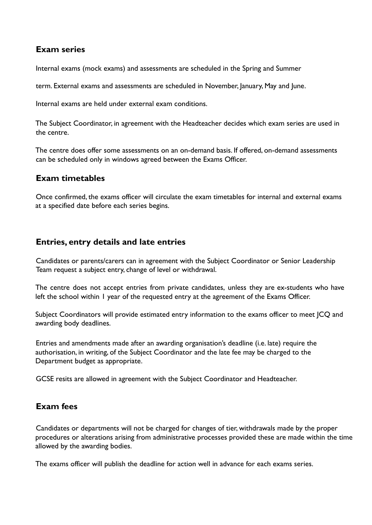## **Exam series**

Internal exams (mock exams) and assessments are scheduled in the Spring and Summer

term. External exams and assessments are scheduled in November, January, May and June.

Internal exams are held under external exam conditions.

The Subject Coordinator, in agreement with the Headteacher decides which exam series are used in the centre.

The centre does offer some assessments on an on-demand basis. If offered, on-demand assessments can be scheduled only in windows agreed between the Exams Officer.

## **Exam timetables**

Once confirmed, the exams officer will circulate the exam timetables for internal and external exams at a specified date before each series begins.

## **Entries, entry details and late entries**

Candidates or parents/carers can in agreement with the Subject Coordinator or Senior Leadership Team request a subject entry, change of level or withdrawal.

The centre does not accept entries from private candidates, unless they are ex-students who have left the school within 1 year of the requested entry at the agreement of the Exams Officer.

Subject Coordinators will provide estimated entry information to the exams officer to meet JCQ and awarding body deadlines.

Entries and amendments made after an awarding organisation's deadline (i.e. late) require the authorisation, in writing, of the Subject Coordinator and the late fee may be charged to the Department budget as appropriate.

GCSE resits are allowed in agreement with the Subject Coordinator and Headteacher.

## **Exam fees**

Candidates or departments will not be charged for changes of tier, withdrawals made by the proper procedures or alterations arising from administrative processes provided these are made within the time allowed by the awarding bodies.

The exams officer will publish the deadline for action well in advance for each exams series.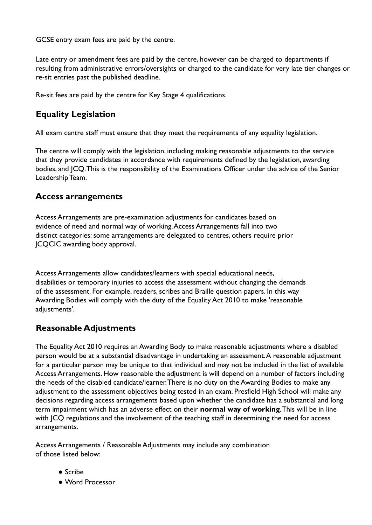GCSE entry exam fees are paid by the centre.

Late entry or amendment fees are paid by the centre, however can be charged to departments if resulting from administrative errors/oversights or charged to the candidate for very late tier changes or re-sit entries past the published deadline.

Re-sit fees are paid by the centre for Key Stage 4 qualifications.

# **Equality Legislation**

All exam centre staff must ensure that they meet the requirements of any equality legislation.

The centre will comply with the legislation, including making reasonable adjustments to the service that they provide candidates in accordance with requirements defined by the legislation, awarding bodies, and JCQ.This is the responsibility of the Examinations Officer under the advice of the Senior Leadership Team.

## **Access arrangements**

Access Arrangements are pre-examination adjustments for candidates based on evidence of need and normal way of working.Access Arrangements fall into two distinct categories: some arrangements are delegated to centres, others require prior JCQCIC awarding body approval.

Access Arrangements allow candidates/learners with special educational needs, disabilities or temporary injuries to access the assessment without changing the demands of the assessment. For example, readers, scribes and Braille question papers. In this way Awarding Bodies will comply with the duty of the Equality Act 2010 to make 'reasonable adjustments'.

# **Reasonable Adjustments**

The Equality Act 2010 requires an Awarding Body to make reasonable adjustments where a disabled person would be at a substantial disadvantage in undertaking an assessment.A reasonable adjustment for a particular person may be unique to that individual and may not be included in the list of available Access Arrangements. How reasonable the adjustment is will depend on a number of factors including the needs of the disabled candidate/learner.There is no duty on the Awarding Bodies to make any adjustment to the assessment objectives being tested in an exam. Presfield High School will make any decisions regarding access arrangements based upon whether the candidate has a substantial and long term impairment which has an adverse effect on their **normal way of working**.This will be in line with JCQ regulations and the involvement of the teaching staff in determining the need for access arrangements.

Access Arrangements / Reasonable Adjustments may include any combination of those listed below:

- Scribe
- Word Processor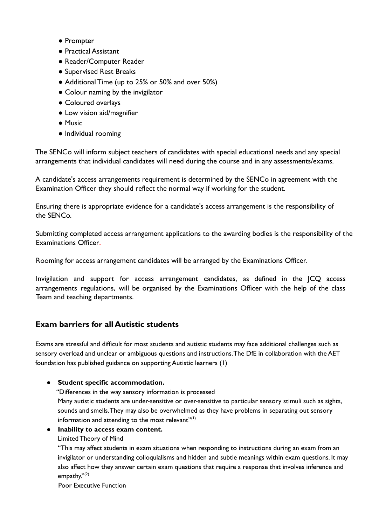- Prompter
- Practical Assistant
- Reader/Computer Reader
- Supervised Rest Breaks
- Additional Time (up to 25% or 50% and over 50%)
- Colour naming by the invigilator
- Coloured overlays
- Low vision aid/magnifier
- Music
- Individual rooming

The SENCo will inform subject teachers of candidates with special educational needs and any special arrangements that individual candidates will need during the course and in any assessments/exams.

A candidate's access arrangements requirement is determined by the SENCo in agreement with the Examination Officer they should reflect the normal way if working for the student.

Ensuring there is appropriate evidence for a candidate's access arrangement is the responsibility of the SENCo.

Submitting completed access arrangement applications to the awarding bodies is the responsibility of the Examinations Officer.

Rooming for access arrangement candidates will be arranged by the Examinations Officer.

Invigilation and support for access arrangement candidates, as defined in the JCQ access arrangements regulations, will be organised by the Examinations Officer with the help of the class Team and teaching departments.

## **Exam barriers for all Autistic students**

Exams are stressful and difficult for most students and autistic students may face additional challenges such as sensory overload and unclear or ambiguous questions and instructions.The DfE in collaboration with the AET foundation has published guidance on supporting Autistic learners (1)

#### **● Student specific accommodation.**

"Differences in the way sensory information is processed

Many autistic students are under-sensitive or over-sensitive to particular sensory stimuli such as sights, sounds and smells.They may also be overwhelmed as they have problems in separating out sensory information and attending to the most relevant $^{\prime\prime (1)}$ 

#### **● Inability to access exam content.**

#### Limited Theory of Mind

"This may affect students in exam situations when responding to instructions during an exam from an invigilator or understanding colloquialisms and hidden and subtle meanings within exam questions. It may also affect how they answer certain exam questions that require a response that involves inference and empathy."<sup>(2)</sup>

Poor Executive Function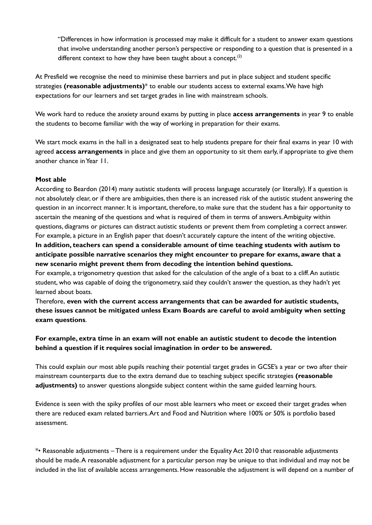"Differences in how information is processed may make it difficult for a student to answer exam questions that involve understanding another person's perspective or responding to a question that is presented in a different context to how they have been taught about a concept.<sup>(2)</sup>

At Presfield we recognise the need to minimise these barriers and put in place subject and student specific strategies **(reasonable adjustments)**\* to enable our students access to external exams.We have high expectations for our learners and set target grades in line with mainstream schools.

We work hard to reduce the anxiety around exams by putting in place **access arrangements** in year 9 to enable the students to become familiar with the way of working in preparation for their exams.

We start mock exams in the hall in a designated seat to help students prepare for their final exams in year 10 with agreed **access arrangements** in place and give them an opportunity to sit them early, if appropriate to give them another chance inYear 11.

#### **Most able**

According to Beardon (2014) many autistic students will process language accurately (or literally). If a question is not absolutely clear, or if there are ambiguities, then there is an increased risk of the autistic student answering the question in an incorrect manner. It is important, therefore, to make sure that the student has a fair opportunity to ascertain the meaning of the questions and what is required of them in terms of answers.Ambiguity within questions, diagrams or pictures can distract autistic students or prevent them from completing a correct answer. For example, a picture in an English paper that doesn't accurately capture the intent of the writing objective.

**In addition, teachers can spend a considerable amount of time teaching students with autism to anticipate possible narrative scenarios they might encounter to prepare for exams, aware that a new scenario might prevent them from decoding the intention behind questions.**

For example, a trigonometry question that asked for the calculation of the angle of a boat to a cliff.An autistic student, who was capable of doing the trigonometry,said they couldn't answer the question, as they hadn't yet learned about boats.

Therefore, **even with the current access arrangements that can be awarded for autistic students, these issues cannot be mitigated unless Exam Boards are careful to avoid ambiguity when setting exam questions**.

#### **For example, extra time in an exam will not enable an autistic student to decode the intention behind a question if it requires social imagination in order to be answered.**

This could explain our most able pupils reaching their potential target grades in GCSE's a year or two after their mainstream counterparts due to the extra demand due to teaching subject specific strategies **(reasonable adjustments)** to answer questions alongside subject content within the same guided learning hours.

Evidence is seen with the spiky profiles of our most able learners who meet or exceed their target grades when there are reduced exam related barriers.Art and Food and Nutrition where 100% or 50% is portfolio based assessment.

\*• Reasonable adjustments – There is a requirement under the Equality Act 2010 that reasonable adjustments should be made.A reasonable adjustment for a particular person may be unique to that individual and may not be included in the list of available access arrangements. How reasonable the adjustment is will depend on a number of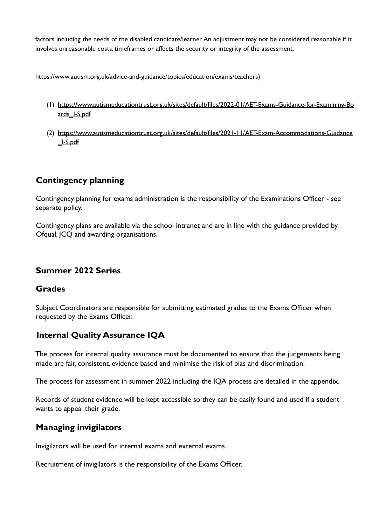factors including the needs of the disabled candidate/learner.An adjustment may not be considered reasonable if it involves unreasonable costs, timeframes or affects the security or integrity of the assessment.

https://www.autism.org.uk/advice-and-guidance/topics/education/exams/teachers)

- (1) [https://www.autismeducationtrust.org.uk/sites/default/files/2022-01/AET-Exams-Guidance-for-Examining-Bo](https://www.autismeducationtrust.org.uk/sites/default/files/2022-01/AET-Exams-Guidance-for-Examining-Boards_I-S.pdf) [ards\\_I-S.pdf](https://www.autismeducationtrust.org.uk/sites/default/files/2022-01/AET-Exams-Guidance-for-Examining-Boards_I-S.pdf)
- (2) [https://www.autismeducationtrust.org.uk/sites/default/files/2021-11/AET-Exam-Accommodations-Guidance](https://www.autismeducationtrust.org.uk/sites/default/files/2021-11/AET-Exam-Accommodations-Guidance_I-S.pdf) [\\_I-S.pdf](https://www.autismeducationtrust.org.uk/sites/default/files/2021-11/AET-Exam-Accommodations-Guidance_I-S.pdf)

# **Contingency planning**

Contingency planning for exams administration is the responsibility of the Examinations Officer - see separate policy.

Contingency plans are available via the school intranet and are in line with the guidance provided by Ofqual, JCQ and awarding organisations.

## **Summer 2022 Series**

## **Grades**

Subject Coordinators are responsible for submitting estimated grades to the Exams Officer when requested by the Exams Officer.

# **Internal Quality Assurance IQA**

The process for internal quality assurance must be documented to ensure that the judgements being made are fair, consistent, evidence based and minimise the risk of bias and discrimination.

The process for assessment in summer 2022 including the IQA process are detailed in the appendix.

Records of student evidence will be kept accessible so they can be easily found and used if a student wants to appeal their grade.

## **Managing invigilators**

Invigilators will be used for internal exams and external exams.

Recruitment of invigilators is the responsibility of the Exams Officer.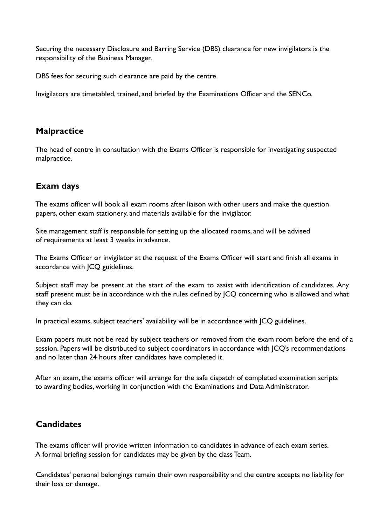Securing the necessary Disclosure and Barring Service (DBS) clearance for new invigilators is the responsibility of the Business Manager.

DBS fees for securing such clearance are paid by the centre.

Invigilators are timetabled, trained, and briefed by the Examinations Officer and the SENCo.

# **Malpractice**

The head of centre in consultation with the Exams Officer is responsible for investigating suspected malpractice.

# **Exam days**

The exams officer will book all exam rooms after liaison with other users and make the question papers, other exam stationery, and materials available for the invigilator.

Site management staff is responsible for setting up the allocated rooms, and will be advised of requirements at least 3 weeks in advance.

The Exams Officer or invigilator at the request of the Exams Officer will start and finish all exams in accordance with JCQ guidelines.

Subject staff may be present at the start of the exam to assist with identification of candidates. Any staff present must be in accordance with the rules defined by JCQ concerning who is allowed and what they can do.

In practical exams, subject teachers' availability will be in accordance with JCQ guidelines.

Exam papers must not be read by subject teachers or removed from the exam room before the end of a session. Papers will be distributed to subject coordinators in accordance with JCQ's recommendations and no later than 24 hours after candidates have completed it.

After an exam, the exams officer will arrange for the safe dispatch of completed examination scripts to awarding bodies, working in conjunction with the Examinations and Data Administrator.

# **Candidates**

The exams officer will provide written information to candidates in advance of each exam series. A formal briefing session for candidates may be given by the class Team.

Candidates' personal belongings remain their own responsibility and the centre accepts no liability for their loss or damage.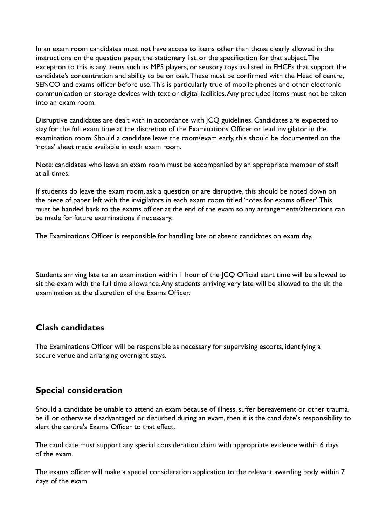In an exam room candidates must not have access to items other than those clearly allowed in the instructions on the question paper, the stationery list, or the specification for that subject.The exception to this is any items such as MP3 players, or sensory toys as listed in EHCPs that support the candidate's concentration and ability to be on task.These must be confirmed with the Head of centre, SENCO and exams officer before use.This is particularly true of mobile phones and other electronic communication or storage devices with text or digital facilities.Any precluded items must not be taken into an exam room.

Disruptive candidates are dealt with in accordance with JCQ guidelines. Candidates are expected to stay for the full exam time at the discretion of the Examinations Officer or lead invigilator in the examination room. Should a candidate leave the room/exam early, this should be documented on the 'notes' sheet made available in each exam room.

Note: candidates who leave an exam room must be accompanied by an appropriate member of staff at all times.

If students do leave the exam room, ask a question or are disruptive, this should be noted down on the piece of paper left with the invigilators in each exam room titled 'notes for exams officer'.This must be handed back to the exams officer at the end of the exam so any arrangements/alterations can be made for future examinations if necessary.

The Examinations Officer is responsible for handling late or absent candidates on exam day.

Students arriving late to an examination within 1 hour of the JCQ Official start time will be allowed to sit the exam with the full time allowance.Any students arriving very late will be allowed to the sit the examination at the discretion of the Exams Officer.

# **Clash candidates**

The Examinations Officer will be responsible as necessary for supervising escorts, identifying a secure venue and arranging overnight stays.

# **Special consideration**

Should a candidate be unable to attend an exam because of illness, suffer bereavement or other trauma, be ill or otherwise disadvantaged or disturbed during an exam, then it is the candidate's responsibility to alert the centre's Exams Officer to that effect.

The candidate must support any special consideration claim with appropriate evidence within 6 days of the exam.

The exams officer will make a special consideration application to the relevant awarding body within 7 days of the exam.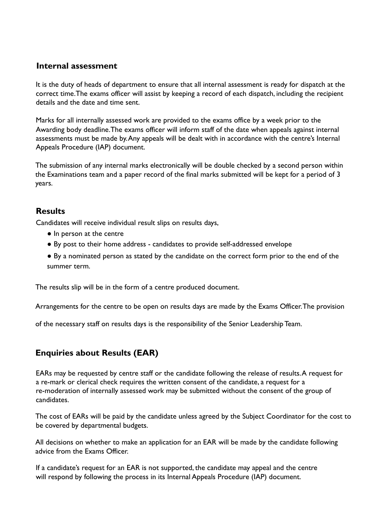## **Internal assessment**

It is the duty of heads of department to ensure that all internal assessment is ready for dispatch at the correct time.The exams officer will assist by keeping a record of each dispatch, including the recipient details and the date and time sent.

Marks for all internally assessed work are provided to the exams office by a week prior to the Awarding body deadline.The exams officer will inform staff of the date when appeals against internal assessments must be made by.Any appeals will be dealt with in accordance with the centre's Internal Appeals Procedure (IAP) document.

The submission of any internal marks electronically will be double checked by a second person within the Examinations team and a paper record of the final marks submitted will be kept for a period of 3 years.

## **Results**

Candidates will receive individual result slips on results days,

- In person at the centre
- By post to their home address candidates to provide self-addressed envelope
- By a nominated person as stated by the candidate on the correct form prior to the end of the summer term.

The results slip will be in the form of a centre produced document.

Arrangements for the centre to be open on results days are made by the Exams Officer.The provision

of the necessary staff on results days is the responsibility of the Senior Leadership Team.

# **Enquiries about Results (EAR)**

EARs may be requested by centre staff or the candidate following the release of results.A request for a re-mark or clerical check requires the written consent of the candidate, a request for a re-moderation of internally assessed work may be submitted without the consent of the group of candidates.

The cost of EARs will be paid by the candidate unless agreed by the Subject Coordinator for the cost to be covered by departmental budgets.

All decisions on whether to make an application for an EAR will be made by the candidate following advice from the Exams Officer.

If a candidate's request for an EAR is not supported, the candidate may appeal and the centre will respond by following the process in its Internal Appeals Procedure (IAP) document.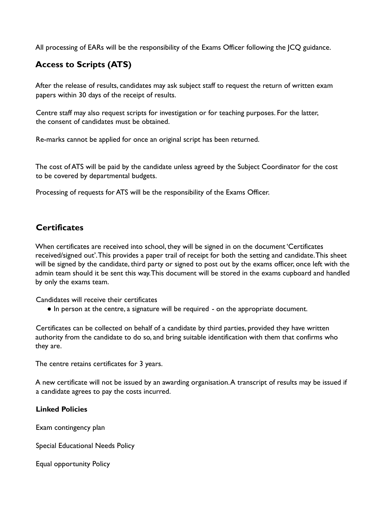All processing of EARs will be the responsibility of the Exams Officer following the JCQ guidance.

# **Access to Scripts (ATS)**

After the release of results, candidates may ask subject staff to request the return of written exam papers within 30 days of the receipt of results.

Centre staff may also request scripts for investigation or for teaching purposes. For the latter, the consent of candidates must be obtained.

Re-marks cannot be applied for once an original script has been returned.

The cost of ATS will be paid by the candidate unless agreed by the Subject Coordinator for the cost to be covered by departmental budgets.

Processing of requests for ATS will be the responsibility of the Exams Officer.

# **Certificates**

When certificates are received into school, they will be signed in on the document 'Certificates received/signed out'.This provides a paper trail of receipt for both the setting and candidate.This sheet will be signed by the candidate, third party or signed to post out by the exams officer, once left with the admin team should it be sent this way.This document will be stored in the exams cupboard and handled by only the exams team.

Candidates will receive their certificates

● In person at the centre, a signature will be required - on the appropriate document.

Certificates can be collected on behalf of a candidate by third parties, provided they have written authority from the candidate to do so, and bring suitable identification with them that confirms who they are.

The centre retains certificates for 3 years.

A new certificate will not be issued by an awarding organisation.A transcript of results may be issued if a candidate agrees to pay the costs incurred.

#### **Linked Policies**

Exam contingency plan

Special Educational Needs Policy

Equal opportunity Policy